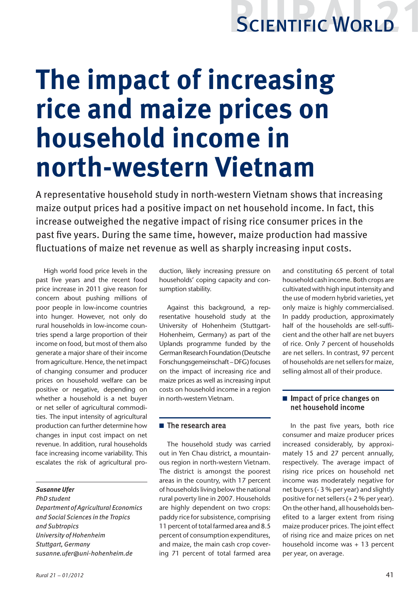# SCIENTIFIC WORLD

# **The impact of increasing rice and maize prices on household income in north-western Vietnam**

A representative household study in north-western Vietnam shows that increasing maize output prices had a positive impact on net household income. In fact, this increase outweighed the negative impact of rising rice consumer prices in the past five years. During the same time, however, maize production had massive fluctuations of maize net revenue as well as sharply increasing input costs.

High world food price levels in the past five years and the recent food price increase in 2011 give reason for concern about pushing millions of poor people in low-income countries into hunger. However, not only do rural households in low-income countries spend a large proportion of their income on food, but most of them also generate a major share of their income from agriculture. Hence, the net impact of changing consumer and producer prices on household welfare can be positive or negative, depending on whether a household is a net buyer or net seller of agricultural commodities. The input intensity of agricultural production can further determine how changes in input cost impact on net revenue. In addition, rural households face increasing income variability. This escalates the risk of agricultural pro-

#### *Susanne Ufer*

*PhD student Department of Agricultural Economics and Social Sciences in the Tropics and Subtropics University of Hohenheim Stuttgart, Germany susanne.ufer@uni-hohenheim.de*

duction, likely increasing pressure on households' coping capacity and consumption stability.

Against this background, a representative household study at the University of Hohenheim (Stuttgart-Hohenheim, Germany) as part of the Uplands programme funded by the German Research Foundation (Deutsche Forschungsgemeinschaft – DFG) focuses on the impact of increasing rice and maize prices as well as increasing input costs on household income in a region in north-western Vietnam.

### $\blacksquare$  The research area

The household study was carried out in Yen Chau district, a mountainous region in north-western Vietnam. The district is amongst the poorest areas in the country, with 17 percent of households living below the national rural poverty line in 2007. Households are highly dependent on two crops: paddy rice for subsistence, comprising 11 percent of total farmed area and 8.5 percent of consumption expenditures, and maize, the main cash crop covering 71 percent of total farmed area and constituting 65 percent of total household cash income. Both crops are cultivated with high input intensity and the use of modern hybrid varieties, yet only maize is highly commercialised. In paddy production, approximately half of the households are self-sufficient and the other half are net buyers of rice. Only 7 percent of households are net sellers. In contrast, 97 percent of households are net sellers for maize, selling almost all of their produce.

### $\blacksquare$  Impact of price changes on net household income

In the past five years, both rice consumer and maize producer prices increased considerably, by approximately 15 and 27 percent annually, respectively. The average impact of rising rice prices on household net income was moderately negative for net buyers (- 3 % per year) and slightly positive for net sellers (+ 2 % per year). On the other hand, all households benefited to a larger extent from rising maize producer prices. The joint effect of rising rice and maize prices on net household income was + 13 percent per year, on average.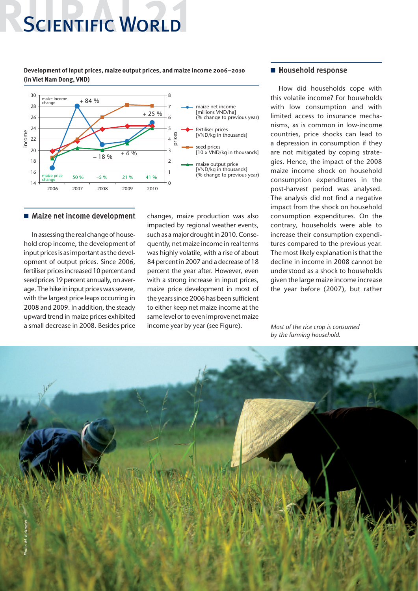# **SCIENTIFIC WORLD**

**Development of input prices, maize output prices, and maize income 2006–2010 (in Viet Nam Dong, VND)**



#### ■ Maize net income development

In assessing the real change of household crop income, the development of input prices is as important as the development of output prices. Since 2006, fertiliser prices increased 10 percent and seed prices 19 percent annually, on average. The hike in input prices was severe, with the largest price leaps occurring in 2008 and 2009. In addition, the steady upward trend in maize prices exhibited a small decrease in 2008. Besides price

changes, maize production was also impacted by regional weather events, such as a major drought in 2010. Consequently, net maize income in real terms was highly volatile, with a rise of about 84 percent in 2007 and a decrease of 18 percent the year after. However, even with a strong increase in input prices, maize price development in most of the years since 2006 has been sufficient to either keep net maize income at the same level or to even improve net maize income year by year (see Figure).

#### ■ Household response

How did households cope with this volatile income? For households with low consumption and with limited access to insurance mechanisms, as is common in low-income countries, price shocks can lead to a depression in consumption if they are not mitigated by coping strategies. Hence, the impact of the 2008 maize income shock on household consumption expenditures in the post-harvest period was analysed. The analysis did not find a negative impact from the shock on household consumption expenditures. On the contrary, households were able to increase their consumption expenditures compared to the previous year. The most likely explanation is that the decline in income in 2008 cannot be understood as a shock to households given the large maize income increase the year before (2007), but rather

*Most of the rice crop is consumed by the farming household.*